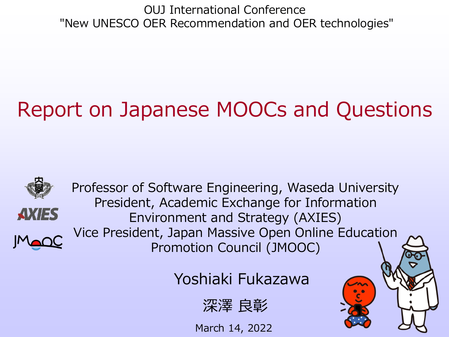OUJ International Conference "New UNESCO OER Recommendation and OER technologies"

# Report on Japanese MOOCs and Questions



Professor of Software Engineering, Waseda University President, Academic Exchange for Information Environment and Strategy (AXIES) Vice President, Japan Massive Open Online Education Promotion Council (JMOOC)

Yoshiaki Fukazawa



March 14, 2022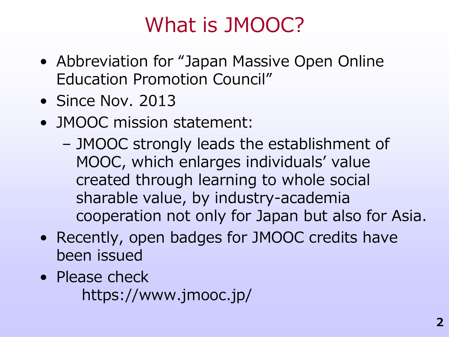### What is JMOOC?

- Abbreviation for "Japan Massive Open Online Education Promotion Council"
- Since Nov. 2013
- JMOOC mission statement:
	- JMOOC strongly leads the establishment of MOOC, which enlarges individuals' value created through learning to whole social sharable value, by industry-academia cooperation not only for Japan but also for Asia.
- Recently, open badges for JMOOC credits have been issued
- Please check https://www.jmooc.jp/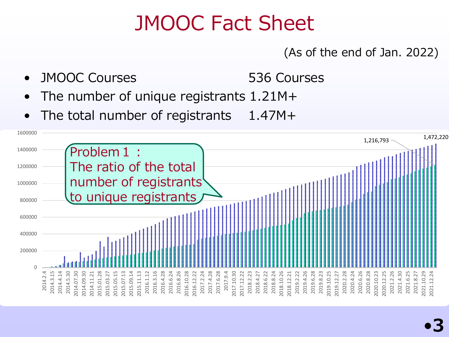#### JMOOC Fact Sheet

#### (As of the end of Jan. 2022)

- JMOOC Courses 536 Courses
- The number of unique registrants  $1.21M +$
- The total number of registrants  $1.47M +$

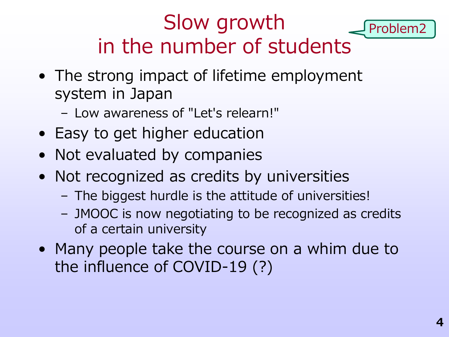# Slow growth in the number of students

- The strong impact of lifetime employment system in Japan
	- Low awareness of "Let's relearn!"
- Easy to get higher education
- Not evaluated by companies
- Not recognized as credits by universities
	- The biggest hurdle is the attitude of universities!
	- JMOOC is now negotiating to be recognized as credits of a certain university
- Many people take the course on a whim due to the influence of COVID-19 (?)

Problem2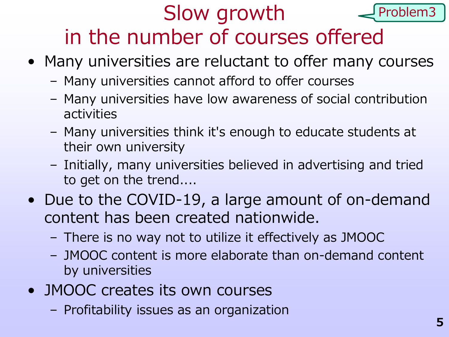#### Slow growth in the number of courses offered Problem3

- Many universities are reluctant to offer many courses
	- Many universities cannot afford to offer courses
	- Many universities have low awareness of social contribution activities
	- Many universities think it's enough to educate students at their own university
	- Initially, many universities believed in advertising and tried to get on the trend....
- Due to the COVID-19, a large amount of on-demand content has been created nationwide.
	- There is no way not to utilize it effectively as JMOOC
	- JMOOC content is more elaborate than on-demand content by universities
- JMOOC creates its own courses
	- Profitability issues as an organization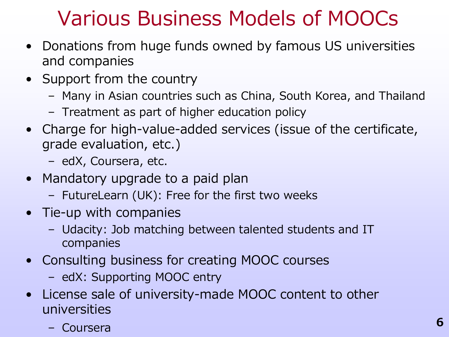#### Various Business Models of MOOCs

- Donations from huge funds owned by famous US universities and companies
- Support from the country
	- Many in Asian countries such as China, South Korea, and Thailand
	- Treatment as part of higher education policy
- Charge for high-value-added services (issue of the certificate, grade evaluation, etc.)
	- edX, Coursera, etc.
- Mandatory upgrade to a paid plan
	- FutureLearn (UK): Free for the first two weeks
- Tie-up with companies
	- Udacity: Job matching between talented students and IT companies
- Consulting business for creating MOOC courses
	- edX: Supporting MOOC entry
- License sale of university-made MOOC content to other universities
	- Coursera **<sup>6</sup>**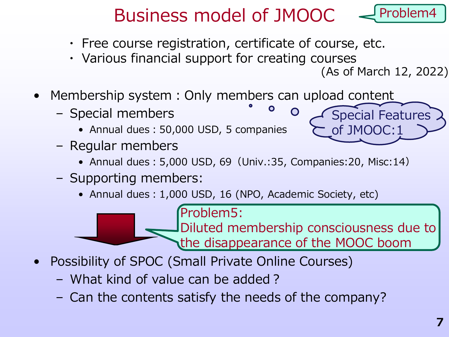#### Business model of JMOOC Problem4

O

- ・ Free course registration, certificate of course, etc.
- ・ Various financial support for creating courses

(As of March 12, 2022)

- Membership system: Only members can upload content
	- Special members
		- Annual dues:50,000 USD, 5 companies
	- Regular members
		- Annual dues:5,000 USD, 69(Univ.:35, Companies:20, Misc:14)
	- Supporting members:
		- Annual dues: 1,000 USD, 16 (NPO, Academic Society, etc)

Problem5:

Diluted membership consciousness due to the disappearance of the MOOC boom

- Possibility of SPOC (Small Private Online Courses)
	- What kind of value can be added?
	- Can the contents satisfy the needs of the company?

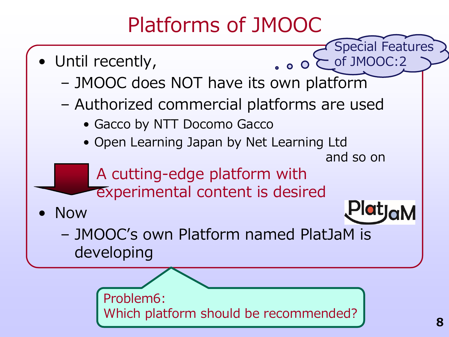#### Platforms of JMOOC

Special Features • Until recently, of JMOOC:2  $\bullet$  0  $\bullet$ – JMOOC does NOT have its own platform – Authorized commercial platforms are used • Gacco by NTT Docomo Gacco • Open Learning Japan by Net Learning Ltd and so on A cutting-edge platform with experimental content is desired• Now – JMOOC's own Platform named PlatJaM is developing Problem6:

Which platform should be recommended?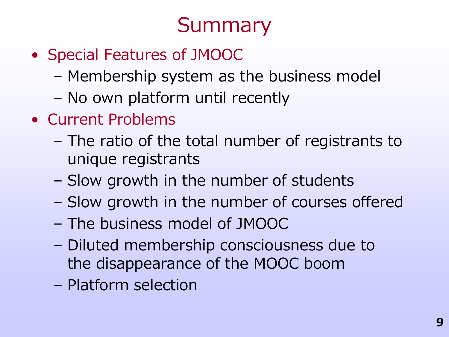# **Summary**

- Special Features of JMOOC
	- Membership system as the business model
	- No own platform until recently
- Current Problems
	- The ratio of the total number of registrants to unique registrants
	- Slow growth in the number of students
	- Slow growth in the number of courses offered
	- The business model of JMOOC
	- Diluted membership consciousness due to the disappearance of the MOOC boom
	- Platform selection